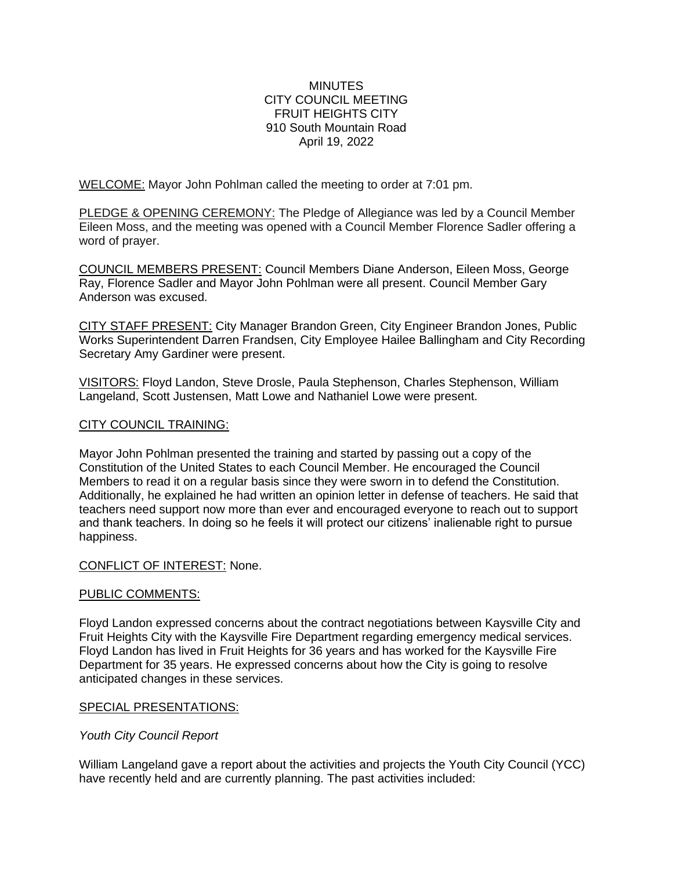#### **MINUTES** CITY COUNCIL MEETING FRUIT HEIGHTS CITY 910 South Mountain Road April 19, 2022

WELCOME: Mayor John Pohlman called the meeting to order at 7:01 pm.

PLEDGE & OPENING CEREMONY: The Pledge of Allegiance was led by a Council Member Eileen Moss, and the meeting was opened with a Council Member Florence Sadler offering a word of prayer.

COUNCIL MEMBERS PRESENT: Council Members Diane Anderson, Eileen Moss, George Ray, Florence Sadler and Mayor John Pohlman were all present. Council Member Gary Anderson was excused.

CITY STAFF PRESENT: City Manager Brandon Green, City Engineer Brandon Jones, Public Works Superintendent Darren Frandsen, City Employee Hailee Ballingham and City Recording Secretary Amy Gardiner were present.

VISITORS: Floyd Landon, Steve Drosle, Paula Stephenson, Charles Stephenson, William Langeland, Scott Justensen, Matt Lowe and Nathaniel Lowe were present.

# CITY COUNCIL TRAINING:

Mayor John Pohlman presented the training and started by passing out a copy of the Constitution of the United States to each Council Member. He encouraged the Council Members to read it on a regular basis since they were sworn in to defend the Constitution. Additionally, he explained he had written an opinion letter in defense of teachers. He said that teachers need support now more than ever and encouraged everyone to reach out to support and thank teachers. In doing so he feels it will protect our citizens' inalienable right to pursue happiness.

#### CONFLICT OF INTEREST: None.

# PUBLIC COMMENTS:

Floyd Landon expressed concerns about the contract negotiations between Kaysville City and Fruit Heights City with the Kaysville Fire Department regarding emergency medical services. Floyd Landon has lived in Fruit Heights for 36 years and has worked for the Kaysville Fire Department for 35 years. He expressed concerns about how the City is going to resolve anticipated changes in these services.

#### SPECIAL PRESENTATIONS:

# *Youth City Council Report*

William Langeland gave a report about the activities and projects the Youth City Council (YCC) have recently held and are currently planning. The past activities included: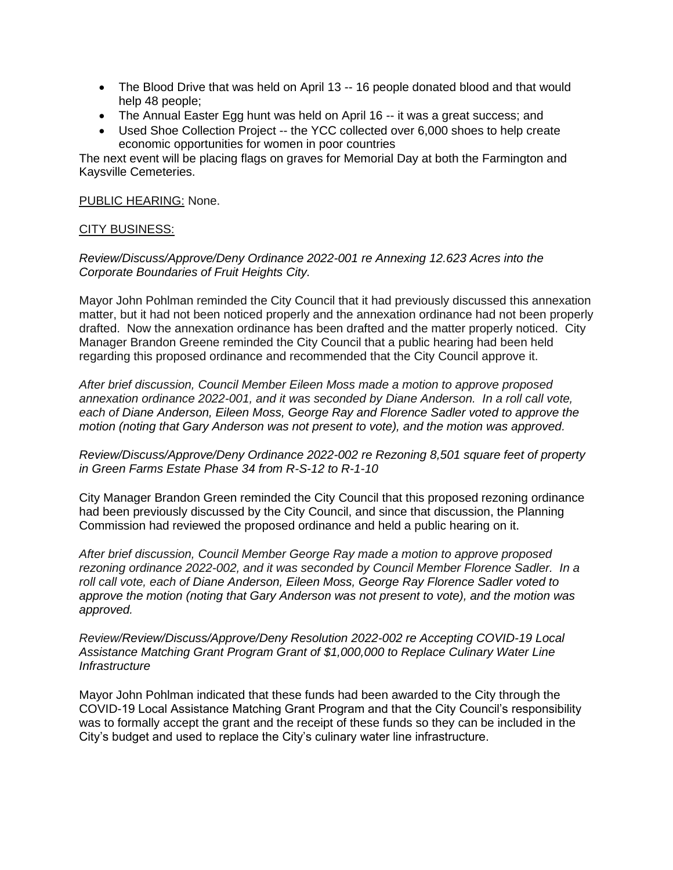- The Blood Drive that was held on April 13 -- 16 people donated blood and that would help 48 people;
- The Annual Easter Egg hunt was held on April 16 -- it was a great success; and
- Used Shoe Collection Project -- the YCC collected over 6,000 shoes to help create economic opportunities for women in poor countries

The next event will be placing flags on graves for Memorial Day at both the Farmington and Kaysville Cemeteries.

PUBLIC HEARING: None.

#### CITY BUSINESS:

*Review/Discuss/Approve/Deny Ordinance 2022-001 re Annexing 12.623 Acres into the Corporate Boundaries of Fruit Heights City.*

Mayor John Pohlman reminded the City Council that it had previously discussed this annexation matter, but it had not been noticed properly and the annexation ordinance had not been properly drafted. Now the annexation ordinance has been drafted and the matter properly noticed. City Manager Brandon Greene reminded the City Council that a public hearing had been held regarding this proposed ordinance and recommended that the City Council approve it.

*After brief discussion, Council Member Eileen Moss made a motion to approve proposed annexation ordinance 2022-001, and it was seconded by Diane Anderson. In a roll call vote, each of Diane Anderson, Eileen Moss, George Ray and Florence Sadler voted to approve the motion (noting that Gary Anderson was not present to vote), and the motion was approved.* 

*Review/Discuss/Approve/Deny Ordinance 2022-002 re Rezoning 8,501 square feet of property in Green Farms Estate Phase 34 from R-S-12 to R-1-10* 

City Manager Brandon Green reminded the City Council that this proposed rezoning ordinance had been previously discussed by the City Council, and since that discussion, the Planning Commission had reviewed the proposed ordinance and held a public hearing on it.

*After brief discussion, Council Member George Ray made a motion to approve proposed rezoning ordinance 2022-002, and it was seconded by Council Member Florence Sadler. In a roll call vote, each of Diane Anderson, Eileen Moss, George Ray Florence Sadler voted to approve the motion (noting that Gary Anderson was not present to vote), and the motion was approved.* 

*Review/Review/Discuss/Approve/Deny Resolution 2022-002 re Accepting COVID-19 Local Assistance Matching Grant Program Grant of \$1,000,000 to Replace Culinary Water Line Infrastructure*

Mayor John Pohlman indicated that these funds had been awarded to the City through the COVID-19 Local Assistance Matching Grant Program and that the City Council's responsibility was to formally accept the grant and the receipt of these funds so they can be included in the City's budget and used to replace the City's culinary water line infrastructure.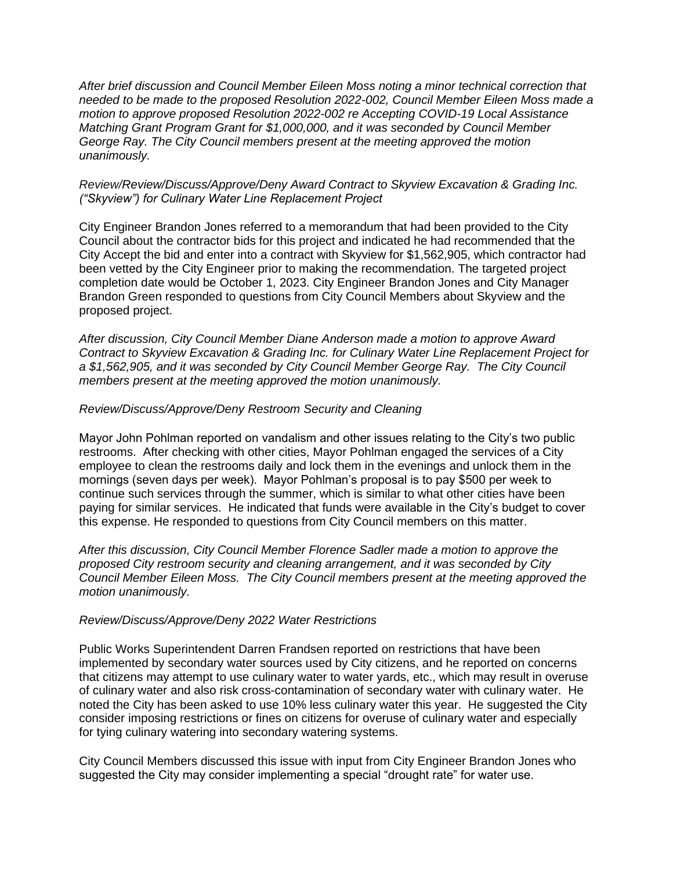*After brief discussion and Council Member Eileen Moss noting a minor technical correction that needed to be made to the proposed Resolution 2022-002, Council Member Eileen Moss made a motion to approve proposed Resolution 2022-002 re Accepting COVID-19 Local Assistance Matching Grant Program Grant for \$1,000,000, and it was seconded by Council Member George Ray. The City Council members present at the meeting approved the motion unanimously.* 

## *Review/Review/Discuss/Approve/Deny Award Contract to Skyview Excavation & Grading Inc. ("Skyview") for Culinary Water Line Replacement Project*

City Engineer Brandon Jones referred to a memorandum that had been provided to the City Council about the contractor bids for this project and indicated he had recommended that the City Accept the bid and enter into a contract with Skyview for \$1,562,905, which contractor had been vetted by the City Engineer prior to making the recommendation. The targeted project completion date would be October 1, 2023. City Engineer Brandon Jones and City Manager Brandon Green responded to questions from City Council Members about Skyview and the proposed project.

*After discussion, City Council Member Diane Anderson made a motion to approve Award Contract to Skyview Excavation & Grading Inc. for Culinary Water Line Replacement Project for a \$1,562,905, and it was seconded by City Council Member George Ray. The City Council members present at the meeting approved the motion unanimously.* 

#### *Review/Discuss/Approve/Deny Restroom Security and Cleaning*

Mayor John Pohlman reported on vandalism and other issues relating to the City's two public restrooms. After checking with other cities, Mayor Pohlman engaged the services of a City employee to clean the restrooms daily and lock them in the evenings and unlock them in the mornings (seven days per week). Mayor Pohlman's proposal is to pay \$500 per week to continue such services through the summer, which is similar to what other cities have been paying for similar services. He indicated that funds were available in the City's budget to cover this expense. He responded to questions from City Council members on this matter.

*After this discussion, City Council Member Florence Sadler made a motion to approve the proposed City restroom security and cleaning arrangement, and it was seconded by City Council Member Eileen Moss. The City Council members present at the meeting approved the motion unanimously.* 

#### *Review/Discuss/Approve/Deny 2022 Water Restrictions*

Public Works Superintendent Darren Frandsen reported on restrictions that have been implemented by secondary water sources used by City citizens, and he reported on concerns that citizens may attempt to use culinary water to water yards, etc., which may result in overuse of culinary water and also risk cross-contamination of secondary water with culinary water. He noted the City has been asked to use 10% less culinary water this year. He suggested the City consider imposing restrictions or fines on citizens for overuse of culinary water and especially for tying culinary watering into secondary watering systems.

City Council Members discussed this issue with input from City Engineer Brandon Jones who suggested the City may consider implementing a special "drought rate" for water use.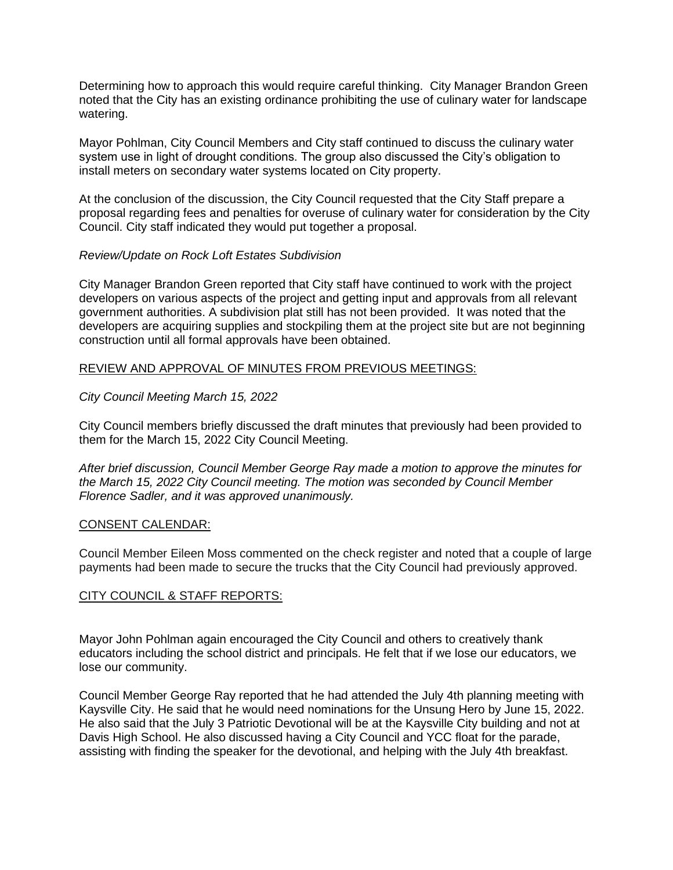Determining how to approach this would require careful thinking. City Manager Brandon Green noted that the City has an existing ordinance prohibiting the use of culinary water for landscape watering.

Mayor Pohlman, City Council Members and City staff continued to discuss the culinary water system use in light of drought conditions. The group also discussed the City's obligation to install meters on secondary water systems located on City property.

At the conclusion of the discussion, the City Council requested that the City Staff prepare a proposal regarding fees and penalties for overuse of culinary water for consideration by the City Council. City staff indicated they would put together a proposal.

## *Review/Update on Rock Loft Estates Subdivision*

City Manager Brandon Green reported that City staff have continued to work with the project developers on various aspects of the project and getting input and approvals from all relevant government authorities. A subdivision plat still has not been provided. It was noted that the developers are acquiring supplies and stockpiling them at the project site but are not beginning construction until all formal approvals have been obtained.

## REVIEW AND APPROVAL OF MINUTES FROM PREVIOUS MEETINGS:

## *City Council Meeting March 15, 2022*

City Council members briefly discussed the draft minutes that previously had been provided to them for the March 15, 2022 City Council Meeting.

*After brief discussion, Council Member George Ray made a motion to approve the minutes for the March 15, 2022 City Council meeting. The motion was seconded by Council Member Florence Sadler, and it was approved unanimously.*

#### CONSENT CALENDAR:

Council Member Eileen Moss commented on the check register and noted that a couple of large payments had been made to secure the trucks that the City Council had previously approved.

# CITY COUNCIL & STAFF REPORTS:

Mayor John Pohlman again encouraged the City Council and others to creatively thank educators including the school district and principals. He felt that if we lose our educators, we lose our community.

Council Member George Ray reported that he had attended the July 4th planning meeting with Kaysville City. He said that he would need nominations for the Unsung Hero by June 15, 2022. He also said that the July 3 Patriotic Devotional will be at the Kaysville City building and not at Davis High School. He also discussed having a City Council and YCC float for the parade, assisting with finding the speaker for the devotional, and helping with the July 4th breakfast.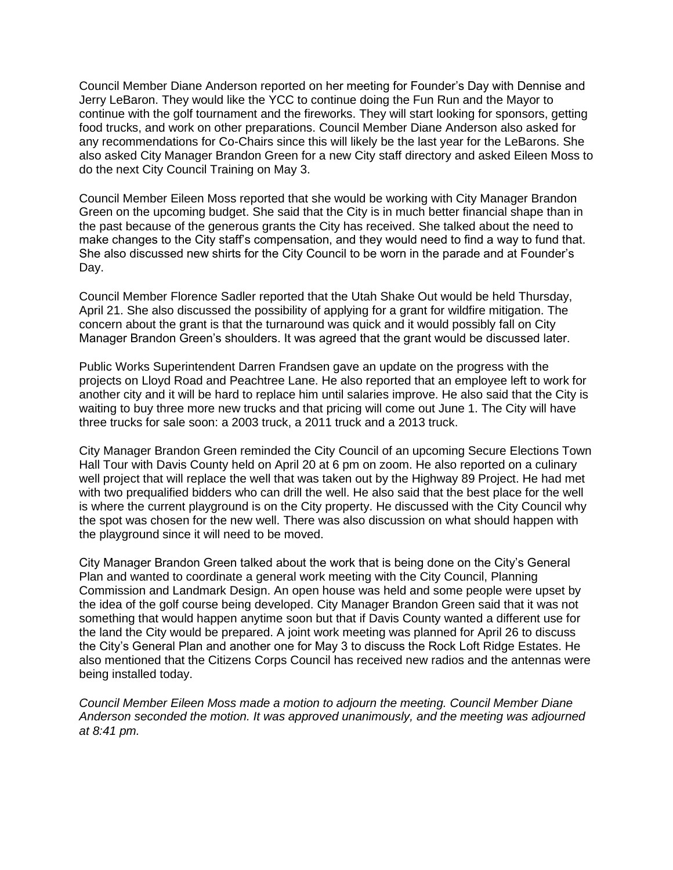Council Member Diane Anderson reported on her meeting for Founder's Day with Dennise and Jerry LeBaron. They would like the YCC to continue doing the Fun Run and the Mayor to continue with the golf tournament and the fireworks. They will start looking for sponsors, getting food trucks, and work on other preparations. Council Member Diane Anderson also asked for any recommendations for Co-Chairs since this will likely be the last year for the LeBarons. She also asked City Manager Brandon Green for a new City staff directory and asked Eileen Moss to do the next City Council Training on May 3.

Council Member Eileen Moss reported that she would be working with City Manager Brandon Green on the upcoming budget. She said that the City is in much better financial shape than in the past because of the generous grants the City has received. She talked about the need to make changes to the City staff's compensation, and they would need to find a way to fund that. She also discussed new shirts for the City Council to be worn in the parade and at Founder's Day.

Council Member Florence Sadler reported that the Utah Shake Out would be held Thursday, April 21. She also discussed the possibility of applying for a grant for wildfire mitigation. The concern about the grant is that the turnaround was quick and it would possibly fall on City Manager Brandon Green's shoulders. It was agreed that the grant would be discussed later.

Public Works Superintendent Darren Frandsen gave an update on the progress with the projects on Lloyd Road and Peachtree Lane. He also reported that an employee left to work for another city and it will be hard to replace him until salaries improve. He also said that the City is waiting to buy three more new trucks and that pricing will come out June 1. The City will have three trucks for sale soon: a 2003 truck, a 2011 truck and a 2013 truck.

City Manager Brandon Green reminded the City Council of an upcoming Secure Elections Town Hall Tour with Davis County held on April 20 at 6 pm on zoom. He also reported on a culinary well project that will replace the well that was taken out by the Highway 89 Project. He had met with two prequalified bidders who can drill the well. He also said that the best place for the well is where the current playground is on the City property. He discussed with the City Council why the spot was chosen for the new well. There was also discussion on what should happen with the playground since it will need to be moved.

City Manager Brandon Green talked about the work that is being done on the City's General Plan and wanted to coordinate a general work meeting with the City Council, Planning Commission and Landmark Design. An open house was held and some people were upset by the idea of the golf course being developed. City Manager Brandon Green said that it was not something that would happen anytime soon but that if Davis County wanted a different use for the land the City would be prepared. A joint work meeting was planned for April 26 to discuss the City's General Plan and another one for May 3 to discuss the Rock Loft Ridge Estates. He also mentioned that the Citizens Corps Council has received new radios and the antennas were being installed today.

*Council Member Eileen Moss made a motion to adjourn the meeting. Council Member Diane Anderson seconded the motion. It was approved unanimously, and the meeting was adjourned at 8:41 pm.*